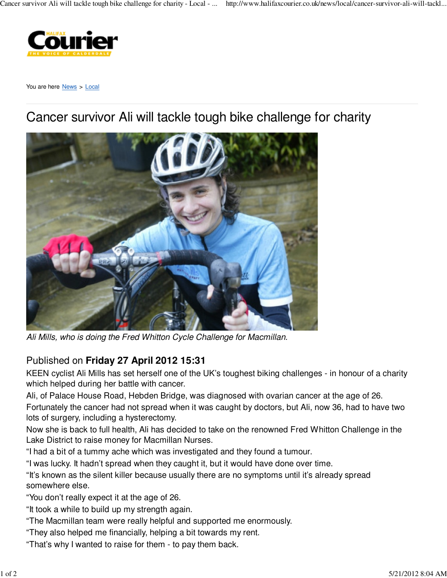

You are here News > Local

## Cancer survivor Ali will tackle tough bike challenge for charity



Ali Mills, who is doing the Fred Whitton Cycle Challenge for Macmillan.

## Published on **Friday 27 April 2012 15:31**

KEEN cyclist Ali Mills has set herself one of the UK's toughest biking challenges - in honour of a charity which helped during her battle with cancer.

Ali, of Palace House Road, Hebden Bridge, was diagnosed with ovarian cancer at the age of 26. Fortunately the cancer had not spread when it was caught by doctors, but Ali, now 36, had to have two lots of surgery, including a hysterectomy.

Now she is back to full health, Ali has decided to take on the renowned Fred Whitton Challenge in the Lake District to raise money for Macmillan Nurses.

"I had a bit of a tummy ache which was investigated and they found a tumour.

"I was lucky. It hadn't spread when they caught it, but it would have done over time.

"It's known as the silent killer because usually there are no symptoms until it's already spread somewhere else.

"You don't really expect it at the age of 26.

"It took a while to build up my strength again.

- "The Macmillan team were really helpful and supported me enormously.
- "They also helped me financially, helping a bit towards my rent.
- "That's why I wanted to raise for them to pay them back.